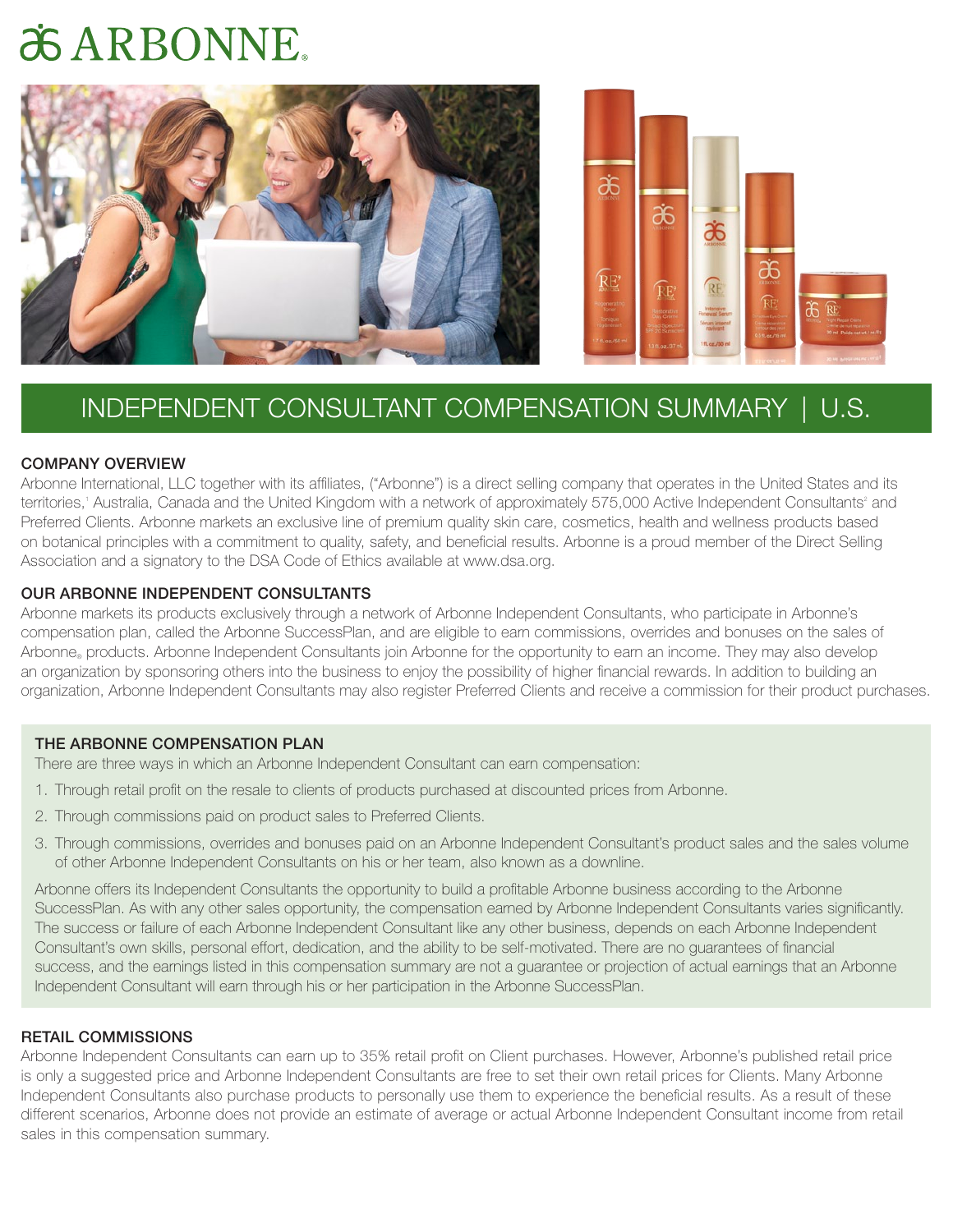# **¿GARBONNE**





# INDEPENDENT CONSULTANT COMPENSATION SUMMARY | U.S.

#### COMPANY OVERVIEW

Arbonne International, LLC together with its affiliates, ("Arbonne") is a direct selling company that operates in the United States and its territories,' Australia, Canada and the United Kingdom with a network of approximately 575,000 Active Independent Consultants<sup>2</sup> and Preferred Clients. Arbonne markets an exclusive line of premium quality skin care, cosmetics, health and wellness products based on botanical principles with a commitment to quality, safety, and beneficial results. Arbonne is a proud member of the Direct Selling Association and a signatory to the DSA Code of Ethics available at www.dsa.org.

#### OUR ARBONNE INDEPENDENT CONSULTANTS

Arbonne markets its products exclusively through a network of Arbonne Independent Consultants, who participate in Arbonne's compensation plan, called the Arbonne SuccessPlan, and are eligible to earn commissions, overrides and bonuses on the sales of Arbonne® products. Arbonne Independent Consultants join Arbonne for the opportunity to earn an income. They may also develop an organization by sponsoring others into the business to enjoy the possibility of higher financial rewards. In addition to building an organization, Arbonne Independent Consultants may also register Preferred Clients and receive a commission for their product purchases.

#### THE ARBONNE COMPENSATION PLAN

There are three ways in which an Arbonne Independent Consultant can earn compensation:

- 1. Through retail profit on the resale to clients of products purchased at discounted prices from Arbonne.
- 2. Through commissions paid on product sales to Preferred Clients.
- 3. Through commissions, overrides and bonuses paid on an Arbonne Independent Consultant's product sales and the sales volume of other Arbonne Independent Consultants on his or her team, also known as a downline.

Arbonne offers its Independent Consultants the opportunity to build a profitable Arbonne business according to the Arbonne SuccessPlan. As with any other sales opportunity, the compensation earned by Arbonne Independent Consultants varies significantly. The success or failure of each Arbonne Independent Consultant like any other business, depends on each Arbonne Independent Consultant's own skills, personal effort, dedication, and the ability to be self-motivated. There are no guarantees of financial success, and the earnings listed in this compensation summary are not a guarantee or projection of actual earnings that an Arbonne Independent Consultant will earn through his or her participation in the Arbonne SuccessPlan.

### RETAIL COMMISSIONS

Arbonne Independent Consultants can earn up to 35% retail profit on Client purchases. However, Arbonne's published retail price is only a suggested price and Arbonne Independent Consultants are free to set their own retail prices for Clients. Many Arbonne Independent Consultants also purchase products to personally use them to experience the beneficial results. As a result of these different scenarios, Arbonne does not provide an estimate of average or actual Arbonne Independent Consultant income from retail sales in this compensation summary.